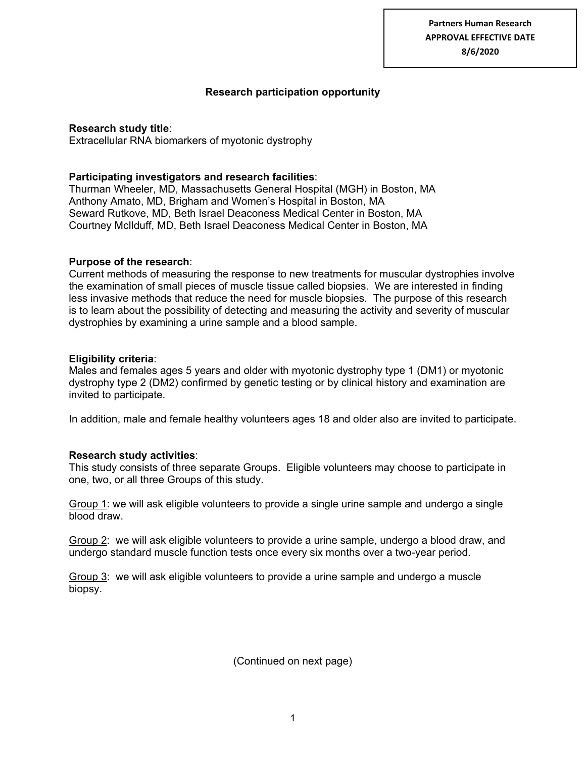# **Research participation opportunity**

# **Research study title**:

Extracellular RNA biomarkers of myotonic dystrophy

# **Participating investigators and research facilities**:

Thurman Wheeler, MD, Massachusetts General Hospital (MGH) in Boston, MA Anthony Amato, MD, Brigham and Women's Hospital in Boston, MA Seward Rutkove, MD, Beth Israel Deaconess Medical Center in Boston, MA Courtney McIlduff, MD, Beth Israel Deaconess Medical Center in Boston, MA

# **Purpose of the research**:

Current methods of measuring the response to new treatments for muscular dystrophies involve the examination of small pieces of muscle tissue called biopsies. We are interested in finding less invasive methods that reduce the need for muscle biopsies. The purpose of this research is to learn about the possibility of detecting and measuring the activity and severity of muscular dystrophies by examining a urine sample and a blood sample.

# **Eligibility criteria**:

Males and females ages 5 years and older with myotonic dystrophy type 1 (DM1) or myotonic dystrophy type 2 (DM2) confirmed by genetic testing or by clinical history and examination are invited to participate.

In addition, male and female healthy volunteers ages 18 and older also are invited to participate.

#### **Research study activities**:

This study consists of three separate Groups. Eligible volunteers may choose to participate in one, two, or all three Groups of this study.

Group 1: we will ask eligible volunteers to provide a single urine sample and undergo a single blood draw.

Group 2: we will ask eligible volunteers to provide a urine sample, undergo a blood draw, and undergo standard muscle function tests once every six months over a two-year period.

Group 3: we will ask eligible volunteers to provide a urine sample and undergo a muscle biopsy.

(Continued on next page)